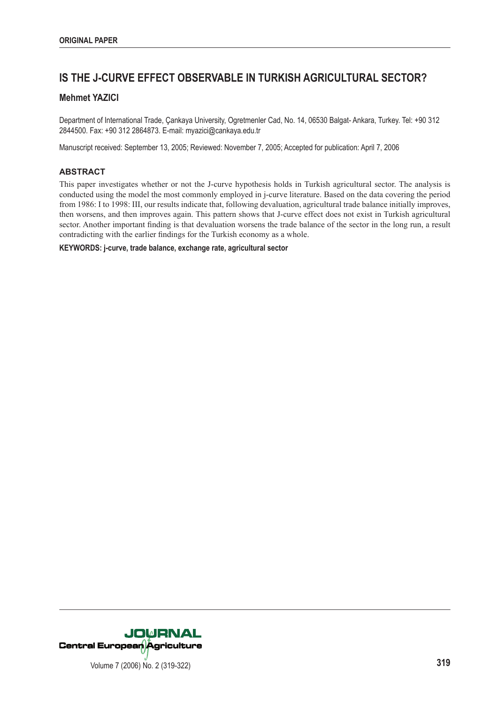# **IS THE J-CURVE EFFECT OBSERVABLE IN TURKISH AGRICULTURAL SECTOR?**

# **Mehmet YAZICI**

Department of International Trade, Çankaya University, Ogretmenler Cad, No. 14, 06530 Balgat- Ankara, Turkey. Tel: +90 312 2844500. Fax: +90 312 2864873. E-mail: myazici@cankaya.edu.tr

Manuscript received: September 13, 2005; Reviewed: November 7, 2005; Accepted for publication: April 7, 2006

## **ABSTRACT**

This paper investigates whether or not the J-curve hypothesis holds in Turkish agricultural sector. The analysis is conducted using the model the most commonly employed in j-curve literature. Based on the data covering the period from 1986: I to 1998: III, our results indicate that, following devaluation, agricultural trade balance initially improves, then worsens, and then improves again. This pattern shows that J-curve effect does not exist in Turkish agricultural sector. Another important finding is that devaluation worsens the trade balance of the sector in the long run, a result contradicting with the earlier findings for the Turkish economy as a whole.

**KEYWORDS: j-curve, trade balance, exchange rate, agricultural sector**

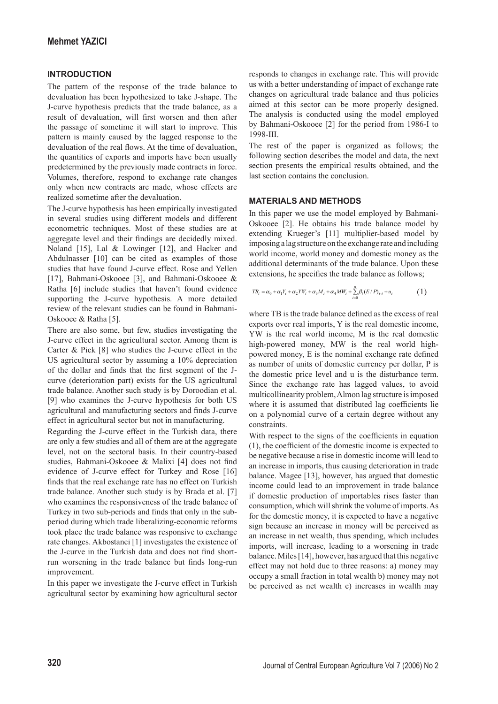## **INTRODUCTION**

The pattern of the response of the trade balance to devaluation has been hypothesized to take J-shape. The J-curve hypothesis predicts that the trade balance, as a result of devaluation, will first worsen and then after the passage of sometime it will start to improve. This pattern is mainly caused by the lagged response to the devaluation of the real flows. At the time of devaluation, the quantities of exports and imports have been usually predetermined by the previously made contracts in force. Volumes, therefore, respond to exchange rate changes only when new contracts are made, whose effects are realized sometime after the devaluation.

The J-curve hypothesis has been empirically investigated in several studies using different models and different econometric techniques. Most of these studies are at aggregate level and their findings are decidedly mixed. Noland [15], Lal & Lowinger [12], and Hacker and Abdulnasser [10] can be cited as examples of those studies that have found J-curve effect. Rose and Yellen [17], Bahmani-Oskooee [3], and Bahmani-Oskooee & Ratha [6] include studies that haven't found evidence supporting the J-curve hypothesis. A more detailed review of the relevant studies can be found in Bahmani-Oskooee & Ratha [5].

There are also some, but few, studies investigating the J-curve effect in the agricultural sector. Among them is Carter & Pick [8] who studies the J-curve effect in the US agricultural sector by assuming a 10% depreciation of the dollar and finds that the first segment of the Jcurve (deterioration part) exists for the US agricultural trade balance. Another such study is by Doroodian et al. [9] who examines the J-curve hypothesis for both US agricultural and manufacturing sectors and finds J-curve effect in agricultural sector but not in manufacturing.

Regarding the J-curve effect in the Turkish data, there are only a few studies and all of them are at the aggregate level, not on the sectoral basis. In their country-based studies, Bahmani-Oskooee & Malixi [4] does not find evidence of J-curve effect for Turkey and Rose [16] finds that the real exchange rate has no effect on Turkish trade balance. Another such study is by Brada et al. [7] who examines the responsiveness of the trade balance of Turkey in two sub-periods and finds that only in the subperiod during which trade liberalizing-economic reforms took place the trade balance was responsive to exchange rate changes. Akbostanci [1] investigates the existence of the J-curve in the Turkish data and does not find shortrun worsening in the trade balance but finds long-run improvement.

In this paper we investigate the J-curve effect in Turkish agricultural sector by examining how agricultural sector responds to changes in exchange rate. This will provide us with a better understanding of impact of exchange rate changes on agricultural trade balance and thus policies aimed at this sector can be more properly designed. The analysis is conducted using the model employed by Bahmani-Oskooee [2] for the period from 1986-I to 1998-III.

The rest of the paper is organized as follows; the following section describes the model and data, the next section presents the empirical results obtained, and the last section contains the conclusion.

#### **MATERIALS AND METHODS**

In this paper we use the model employed by Bahmani-Oskooee [2]. He obtains his trade balance model by extending Krueger's [11] multiplier-based model by imposing a lag structure on the exchange rate and including world income, world money and domestic money as the additional determinants of the trade balance. Upon these extensions, he specifies the trade balance as follows;

$$
TB_t = \alpha_0 + \alpha_1 Y_t + \alpha_2 Y W_t + \alpha_3 M_t + \alpha_4 M W_t + \sum_{i=0}^{n} \beta_i (E/P)_{t-i} + u_t
$$
 (1)

where TB is the trade balance defined as the excess of real exports over real imports, Y is the real domestic income, YW is the real world income, M is the real domestic high-powered money, MW is the real world highpowered money. E is the nominal exchange rate defined as number of units of domestic currency per dollar, P is the domestic price level and u is the disturbance term. Since the exchange rate has lagged values, to avoid multicollinearity problem, Almon lag structure is imposed where it is assumed that distributed lag coefficients lie on a polynomial curve of a certain degree without any constraints.

With respect to the signs of the coefficients in equation  $(1)$ , the coefficient of the domestic income is expected to be negative because a rise in domestic income will lead to an increase in imports, thus causing deterioration in trade balance. Magee [13], however, has argued that domestic income could lead to an improvement in trade balance if domestic production of importables rises faster than consumption, which will shrink the volume of imports. As for the domestic money, it is expected to have a negative sign because an increase in money will be perceived as an increase in net wealth, thus spending, which includes imports, will increase, leading to a worsening in trade balance. Miles [14], however, has argued that this negative effect may not hold due to three reasons: a) money may occupy a small fraction in total wealth b) money may not be perceived as net wealth c) increases in wealth may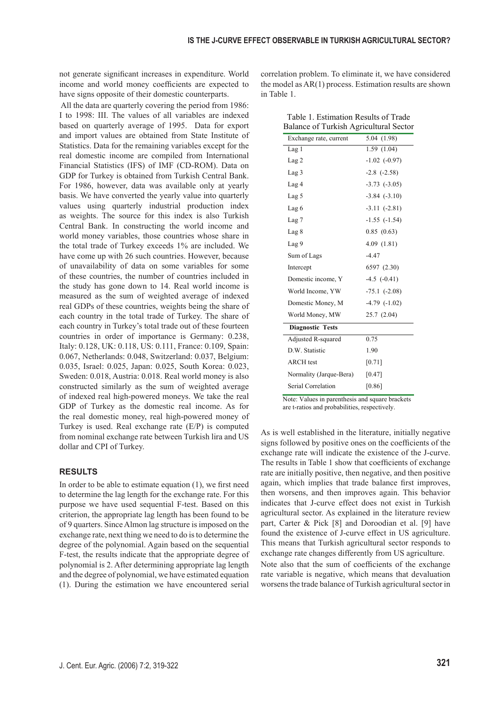not generate significant increases in expenditure. World income and world money coefficients are expected to have signs opposite of their domestic counterparts.

 All the data are quarterly covering the period from 1986: I to 1998: III. The values of all variables are indexed based on quarterly average of 1995. Data for export and import values are obtained from State Institute of Statistics. Data for the remaining variables except for the real domestic income are compiled from International Financial Statistics (IFS) of IMF (CD-ROM). Data on GDP for Turkey is obtained from Turkish Central Bank. For 1986, however, data was available only at yearly basis. We have converted the yearly value into quarterly values using quarterly industrial production index as weights. The source for this index is also Turkish Central Bank. In constructing the world income and world money variables, those countries whose share in the total trade of Turkey exceeds 1% are included. We have come up with 26 such countries. However, because of unavailability of data on some variables for some of these countries, the number of countries included in the study has gone down to 14. Real world income is measured as the sum of weighted average of indexed real GDPs of these countries, weights being the share of each country in the total trade of Turkey. The share of each country in Turkey's total trade out of these fourteen countries in order of importance is Germany: 0.238, Italy: 0.128, UK: 0.118, US: 0.111, France: 0.109, Spain: 0.067, Netherlands: 0.048, Switzerland: 0.037, Belgium: 0.035, Israel: 0.025, Japan: 0.025, South Korea: 0.023, Sweden: 0.018, Austria: 0.018. Real world money is also constructed similarly as the sum of weighted average of indexed real high-powered moneys. We take the real GDP of Turkey as the domestic real income. As for the real domestic money, real high-powered money of Turkey is used. Real exchange rate (E/P) is computed from nominal exchange rate between Turkish lira and US dollar and CPI of Turkey.

## **RESULTS**

In order to be able to estimate equation  $(1)$ , we first need to determine the lag length for the exchange rate. For this purpose we have used sequential F-test. Based on this criterion, the appropriate lag length has been found to be of 9 quarters. Since Almon lag structure is imposed on the exchange rate, next thing we need to do is to determine the degree of the polynomial. Again based on the sequential F-test, the results indicate that the appropriate degree of polynomial is 2. After determining appropriate lag length and the degree of polynomial, we have estimated equation (1). During the estimation we have encountered serial correlation problem. To eliminate it, we have considered the model as AR(1) process. Estimation results are shown in Table 1.

| Table 1. Estimation Results of Trade   |  |
|----------------------------------------|--|
| Balance of Turkish Agricultural Sector |  |

| Dalance of Turkish Agricultural Sector |                   |  |
|----------------------------------------|-------------------|--|
| Exchange rate, current                 | 5.04(1.98)        |  |
| Lag <sub>1</sub>                       | 1.59(1.04)        |  |
| Lag <sub>2</sub>                       | $-1.02$ $(-0.97)$ |  |
| Lag <sub>3</sub>                       | $-2.8$ $(-2.58)$  |  |
| Lag 4                                  | $-3.73$ $(-3.05)$ |  |
| Lag <sub>5</sub>                       | $-3.84$ $(-3.10)$ |  |
| Lag 6                                  | $-3.11$ $(-2.81)$ |  |
| Lag <sub>7</sub>                       | $-1.55$ $(-1.54)$ |  |
| Lag 8                                  | 0.85(0.63)        |  |
| Lag 9                                  | 4.09(1.81)        |  |
| Sum of Lags                            | $-4.47$           |  |
| Intercept                              | 6597 (2.30)       |  |
| Domestic income, Y                     | $-4.5$ $(-0.41)$  |  |
| World Income, YW                       | $-75.1$ $(-2.08)$ |  |
| Domestic Money, M                      | $-4.79$ $(-1.02)$ |  |
| World Money, MW                        | 25.7 (2.04)       |  |
| <b>Diagnostic Tests</b>                |                   |  |
| Adjusted R-squared                     | 0.75              |  |
| D.W. Statistic                         | 1.90              |  |
| <b>ARCH</b> test                       | $[0.71]$          |  |
| Normality (Jarque-Bera)                | [0.47]            |  |
| Serial Correlation                     | [0.86]            |  |

Note: Values in parenthesis and square brackets are t-ratios and probabilities, respectively.

As is well established in the literature, initially negative signs followed by positive ones on the coefficients of the exchange rate will indicate the existence of the J-curve. The results in Table 1 show that coefficients of exchange rate are initially positive, then negative, and then positive again, which implies that trade balance first improves, then worsens, and then improves again. This behavior indicates that J-curve effect does not exist in Turkish agricultural sector. As explained in the literature review part, Carter & Pick [8] and Doroodian et al. [9] have found the existence of J-curve effect in US agriculture. This means that Turkish agricultural sector responds to exchange rate changes differently from US agriculture. Note also that the sum of coefficients of the exchange rate variable is negative, which means that devaluation worsens the trade balance of Turkish agricultural sector in